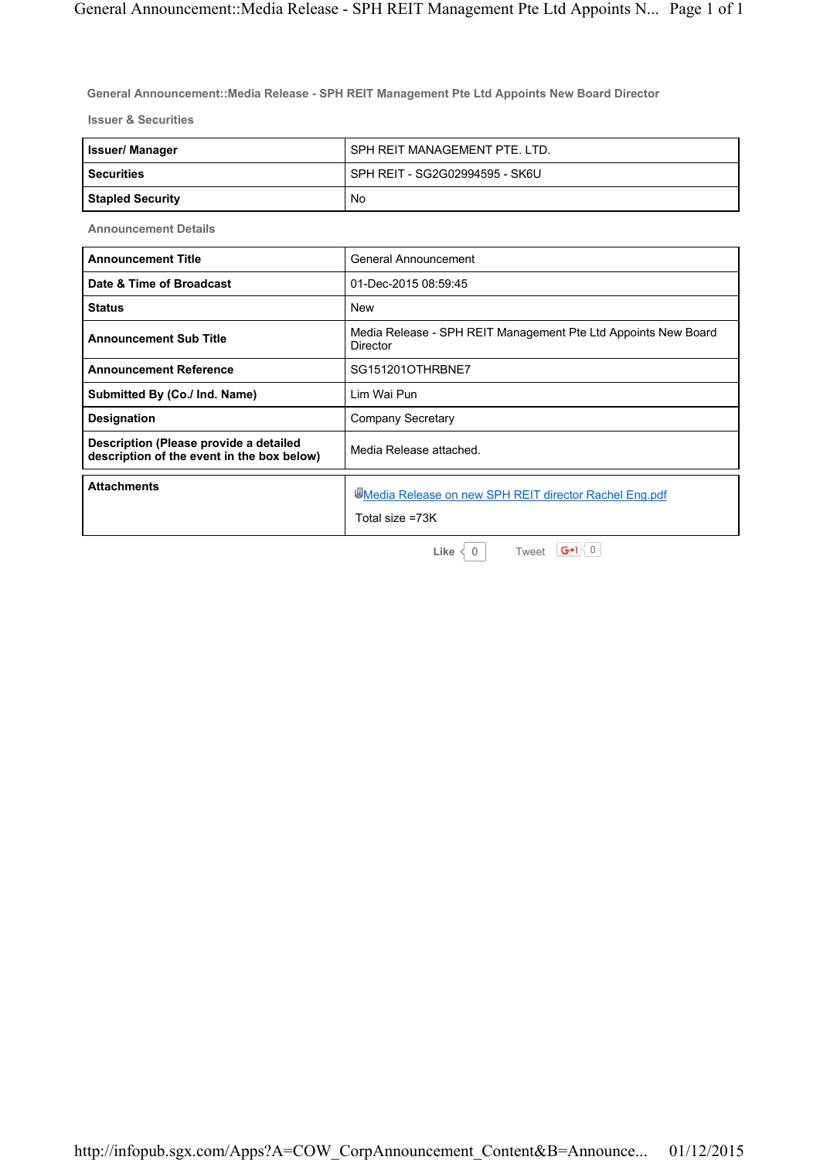**General Announcement::Media Release - SPH REIT Management Pte Ltd Appoints New Board Director**

**Issuer & Securities**

| Issuer/ Manager  | SPH REIT MANAGEMENT PTE. LTD.  |
|------------------|--------------------------------|
| l Securities     | SPH REIT - SG2G02994595 - SK6U |
| Stapled Security | No                             |

**Announcement Details**

| <b>Announcement Title</b>                                                            | General Announcement                                                       |
|--------------------------------------------------------------------------------------|----------------------------------------------------------------------------|
| Date & Time of Broadcast                                                             | 01-Dec-2015 08:59:45                                                       |
| <b>Status</b>                                                                        | <b>New</b>                                                                 |
| <b>Announcement Sub Title</b>                                                        | Media Release - SPH REIT Management Pte Ltd Appoints New Board<br>Director |
| <b>Announcement Reference</b>                                                        | SG151201OTHRBNE7                                                           |
| Submitted By (Co./ Ind. Name)                                                        | Lim Wai Pun                                                                |
| <b>Designation</b>                                                                   | Company Secretary                                                          |
| Description (Please provide a detailed<br>description of the event in the box below) | Media Release attached.                                                    |
| <b>Attachments</b>                                                                   | Media Release on new SPH REIT director Rachel Eng.pdf<br>Total size =73K   |
|                                                                                      | $G+1$ 0<br>Tweet<br>Like $\langle$<br>$\Omega$                             |

http://infopub.sgx.com/Apps?A=COW\_CorpAnnouncement\_Content&B=Announce... 01/12/2015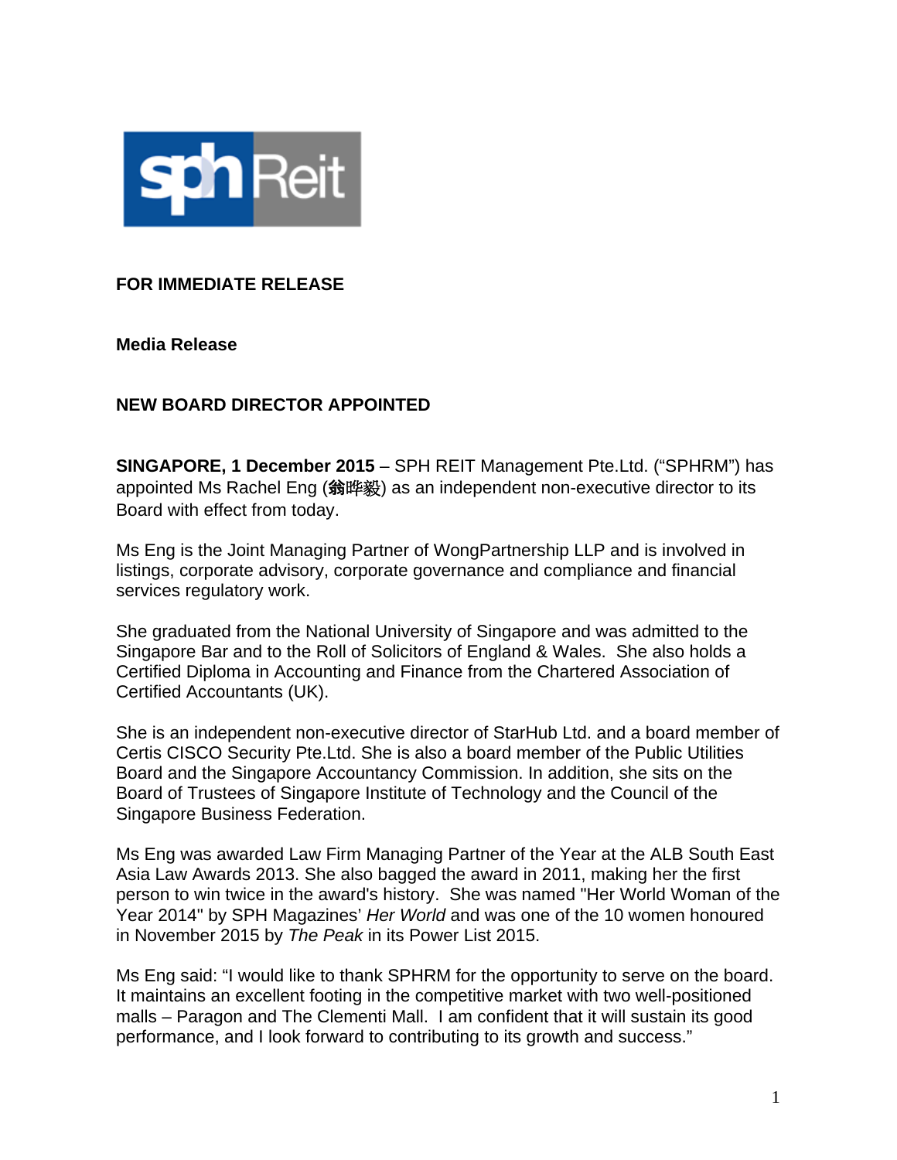

# **FOR IMMEDIATE RELEASE**

**Media Release** 

## **NEW BOARD DIRECTOR APPOINTED**

**SINGAPORE, 1 December 2015** – SPH REIT Management Pte.Ltd. ("SPHRM") has appointed Ms Rachel Eng (翁晔毅) as an independent non-executive director to its Board with effect from today.

Ms Eng is the Joint Managing Partner of WongPartnership LLP and is involved in listings, corporate advisory, corporate governance and compliance and financial services regulatory work.

She graduated from the National University of Singapore and was admitted to the Singapore Bar and to the Roll of Solicitors of England & Wales. She also holds a Certified Diploma in Accounting and Finance from the Chartered Association of Certified Accountants (UK).

She is an independent non-executive director of StarHub Ltd. and a board member of Certis CISCO Security Pte.Ltd. She is also a board member of the Public Utilities Board and the Singapore Accountancy Commission. In addition, she sits on the Board of Trustees of Singapore Institute of Technology and the Council of the Singapore Business Federation.

Ms Eng was awarded Law Firm Managing Partner of the Year at the ALB South East Asia Law Awards 2013. She also bagged the award in 2011, making her the first person to win twice in the award's history. She was named "Her World Woman of the Year 2014" by SPH Magazines' *Her World* and was one of the 10 women honoured in November 2015 by *The Peak* in its Power List 2015.

Ms Eng said: "I would like to thank SPHRM for the opportunity to serve on the board. It maintains an excellent footing in the competitive market with two well-positioned malls – Paragon and The Clementi Mall. I am confident that it will sustain its good performance, and I look forward to contributing to its growth and success."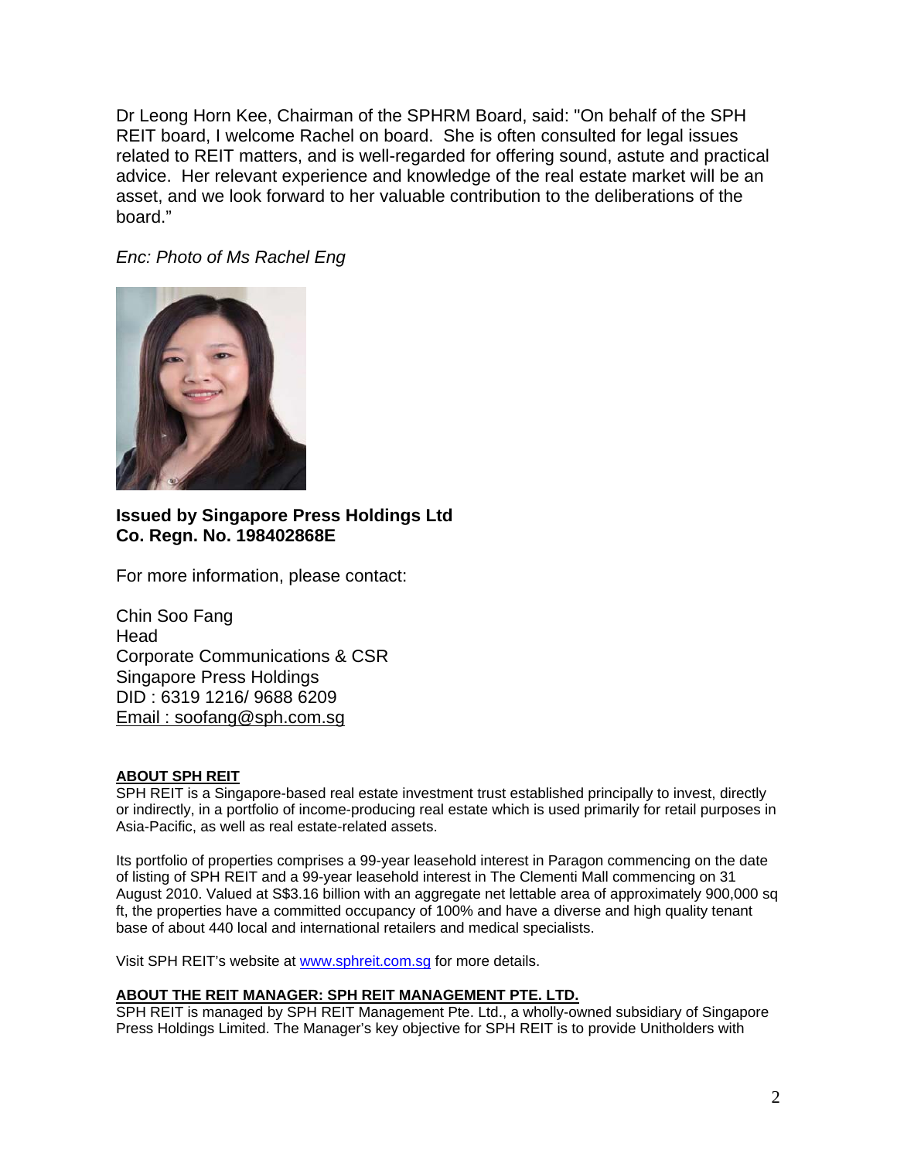Dr Leong Horn Kee, Chairman of the SPHRM Board, said: "On behalf of the SPH REIT board, I welcome Rachel on board. She is often consulted for legal issues related to REIT matters, and is well-regarded for offering sound, astute and practical advice. Her relevant experience and knowledge of the real estate market will be an asset, and we look forward to her valuable contribution to the deliberations of the board."

*Enc: Photo of Ms Rachel Eng* 



### **Issued by Singapore Press Holdings Ltd Co. Regn. No. 198402868E**

For more information, please contact:

Chin Soo Fang Head Corporate Communications & CSR Singapore Press Holdings DID : 6319 1216/ 9688 6209 Email : soofang@sph.com.sg

### **ABOUT SPH REIT**

SPH REIT is a Singapore-based real estate investment trust established principally to invest, directly or indirectly, in a portfolio of income-producing real estate which is used primarily for retail purposes in Asia-Pacific, as well as real estate-related assets.

Its portfolio of properties comprises a 99-year leasehold interest in Paragon commencing on the date of listing of SPH REIT and a 99-year leasehold interest in The Clementi Mall commencing on 31 August 2010. Valued at S\$3.16 billion with an aggregate net lettable area of approximately 900,000 sq ft, the properties have a committed occupancy of 100% and have a diverse and high quality tenant base of about 440 local and international retailers and medical specialists.

Visit SPH REIT's website at www.sphreit.com.sg for more details.

#### **ABOUT THE REIT MANAGER: SPH REIT MANAGEMENT PTE. LTD.**

SPH REIT is managed by SPH REIT Management Pte. Ltd., a wholly-owned subsidiary of Singapore Press Holdings Limited. The Manager's key objective for SPH REIT is to provide Unitholders with